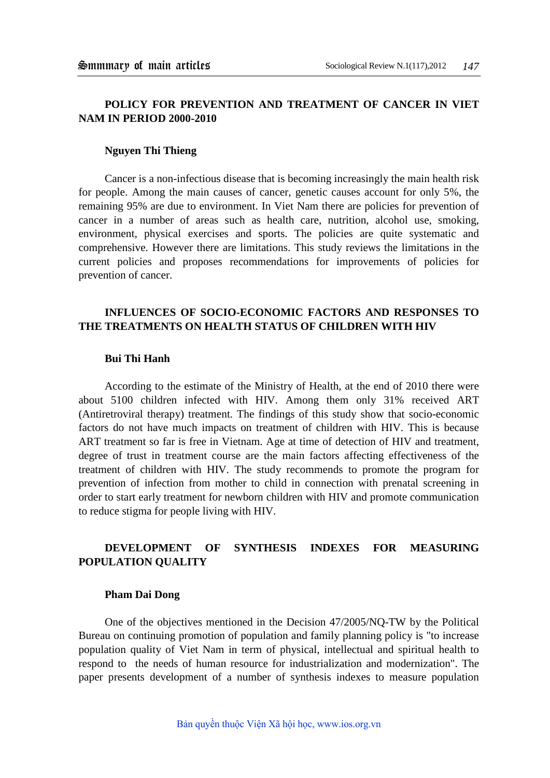## **POLICY FOR PREVENTION AND TREATMENT OF CANCER IN VIET NAM IN PERIOD 2000-2010**

#### **Nguyen Thi Thieng**

Cancer is a non-infectious disease that is becoming increasingly the main health risk for people. Among the main causes of cancer, genetic causes account for only 5%, the remaining 95% are due to environment. In Viet Nam there are policies for prevention of cancer in a number of areas such as health care, nutrition, alcohol use, smoking, environment, physical exercises and sports. The policies are quite systematic and comprehensive. However there are limitations. This study reviews the limitations in the current policies and proposes recommendations for improvements of policies for prevention of cancer.

# **INFLUENCES OF SOCIO-ECONOMIC FACTORS AND RESPONSES TO THE TREATMENTS ON HEALTH STATUS OF CHILDREN WITH HIV**

### **Bui Thi Hanh**

According to the estimate of the Ministry of Health, at the end of 2010 there were about 5100 children infected with HIV. Among them only 31% received ART (Antiretroviral therapy) treatment. The findings of this study show that socio-economic factors do not have much impacts on treatment of children with HIV. This is because ART treatment so far is free in Vietnam. Age at time of detection of HIV and treatment, degree of trust in treatment course are the main factors affecting effectiveness of the treatment of children with HIV. The study recommends to promote the program for prevention of infection from mother to child in connection with prenatal screening in order to start early treatment for newborn children with HIV and promote communication to reduce stigma for people living with HIV.

## **DEVELOPMENT OF SYNTHESIS INDEXES FOR MEASURING POPULATION QUALITY**

#### **Pham Dai Dong**

One of the objectives mentioned in the Decision 47/2005/NQ-TW by the Political Bureau on continuing promotion of population and family planning policy is "to increase population quality of Viet Nam in term of physical, intellectual and spiritual health to respond to the needs of human resource for industrialization and modernization". The paper presents development of a number of synthesis indexes to measure population